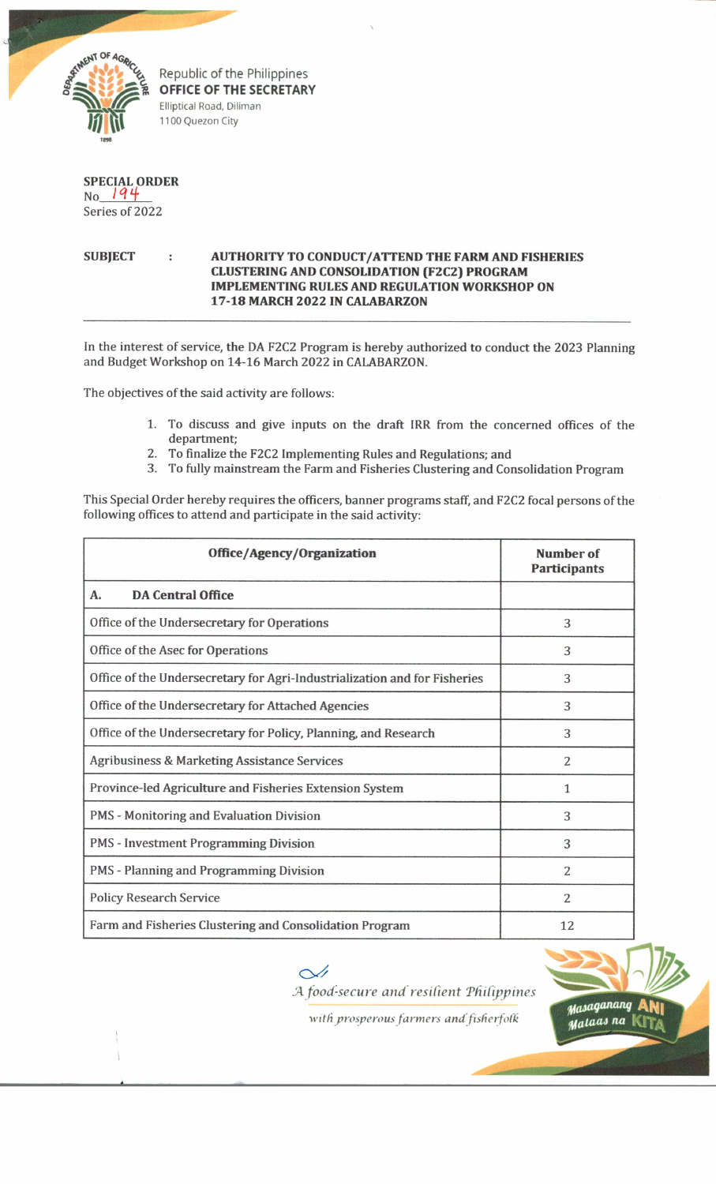

Republic of the Philippines **OFFICE OF THE SECRETARY** Elliptical Road, Diliman 1100 Quezon City

|                | SPECIAL ORDER<br>No 194 |
|----------------|-------------------------|
|                |                         |
| Series of 2022 |                         |

## **SUBJECT : AUTHORITY TO CONDUCT/ATTEND THE FARM AND FISHERIES CLUSTERING AND CONSOLIDATION (F2C2) PROGRAM IMPLEMENTING RULES AND REGULATION WORKSHOP ON 17-18 MARCH 2022 IN CALABARZON**

In the interest of service, the DA F2C2 Program is hereby authorized to conduct the 2023 Planning and Budget Workshop on 14-16 March 2022 in CALABARZON.

The objectives of the said activity are follows:

- 1. To discuss and give inputs on the draft IRR from the concerned offices of the department;
- 2. To finalize the F2C2 Implementing Rules and Regulations; and
- 3. To fully mainstream the Farm and Fisheries Clustering and Consolidation Program

This Special Order hereby requires the officers, banner programs staff, and F2C2 focal persons of the following offices to attend and participate in the said activity:

| Office/Agency/Organization                                                | Number of<br><b>Participants</b> |
|---------------------------------------------------------------------------|----------------------------------|
| <b>DA Central Office</b><br>Α.                                            |                                  |
| Office of the Undersecretary for Operations                               | 3                                |
| Office of the Asec for Operations                                         | 3                                |
| Office of the Undersecretary for Agri-Industrialization and for Fisheries | 3                                |
| Office of the Undersecretary for Attached Agencies                        | 3                                |
| Office of the Undersecretary for Policy, Planning, and Research           | 3                                |
| Agribusiness & Marketing Assistance Services                              | $\overline{2}$                   |
| Province-led Agriculture and Fisheries Extension System                   | 1                                |
| <b>PMS - Monitoring and Evaluation Division</b>                           | 3                                |
| <b>PMS</b> - Investment Programming Division                              | 3                                |
| PMS - Planning and Programming Division                                   | $\overline{2}$                   |
| <b>Policy Research Service</b>                                            | $\overline{2}$                   |
| Farm and Fisheries Clustering and Consolidation Program                   | 12                               |

 $\sim$ *A food-secure and resilient 'Philippines*

*'with prosperous farmers and fisfierfofk*

Masaganang Malaas na